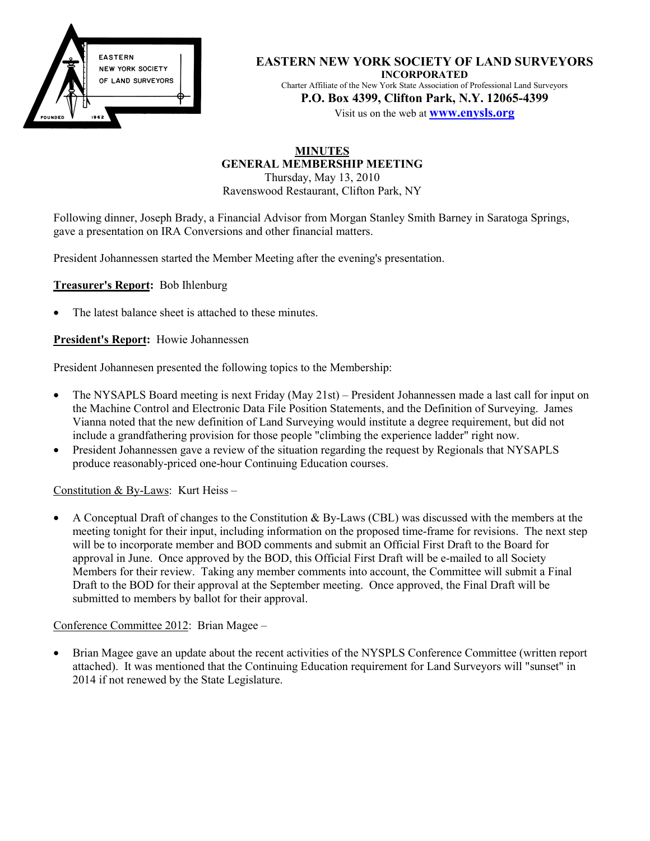

**EASTERN NEW YORK SOCIETY OF LAND SURVEYORS INCORPORATED** Charter Affiliate of the New York State Association of Professional Land Surveyors **P.O. Box 4399, Clifton Park, N.Y. 12065-4399**

Visit us on the web at **www.enysls.org**

### **MINUTES GENERAL MEMBERSHIP MEETING** Thursday, May 13, 2010

Ravenswood Restaurant, Clifton Park, NY

Following dinner, Joseph Brady, a Financial Advisor from Morgan Stanley Smith Barney in Saratoga Springs, gave a presentation on IRA Conversions and other financial matters.

President Johannessen started the Member Meeting after the evening's presentation.

**Treasurer's Report:** Bob Ihlenburg

The latest balance sheet is attached to these minutes.

**President's Report:** Howie Johannessen

President Johannesen presented the following topics to the Membership:

- The NYSAPLS Board meeting is next Friday (May 21st) President Johannessen made a last call for input on the Machine Control and Electronic Data File Position Statements, and the Definition of Surveying. James Vianna noted that the new definition of Land Surveying would institute a degree requirement, but did not include a grandfathering provision for those people "climbing the experience ladder" right now.
- President Johannessen gave a review of the situation regarding the request by Regionals that NYSAPLS produce reasonably-priced one-hour Continuing Education courses.

Constitution & By-Laws: Kurt Heiss –

• A Conceptual Draft of changes to the Constitution  $\&$  By-Laws (CBL) was discussed with the members at the meeting tonight for their input, including information on the proposed time-frame for revisions. The next step will be to incorporate member and BOD comments and submit an Official First Draft to the Board for approval in June. Once approved by the BOD, this Official First Draft will be e-mailed to all Society Members for their review. Taking any member comments into account, the Committee will submit a Final Draft to the BOD for their approval at the September meeting. Once approved, the Final Draft will be submitted to members by ballot for their approval.

Conference Committee 2012: Brian Magee –

• Brian Magee gave an update about the recent activities of the NYSPLS Conference Committee (written report attached). It was mentioned that the Continuing Education requirement for Land Surveyors will "sunset" in 2014 if not renewed by the State Legislature.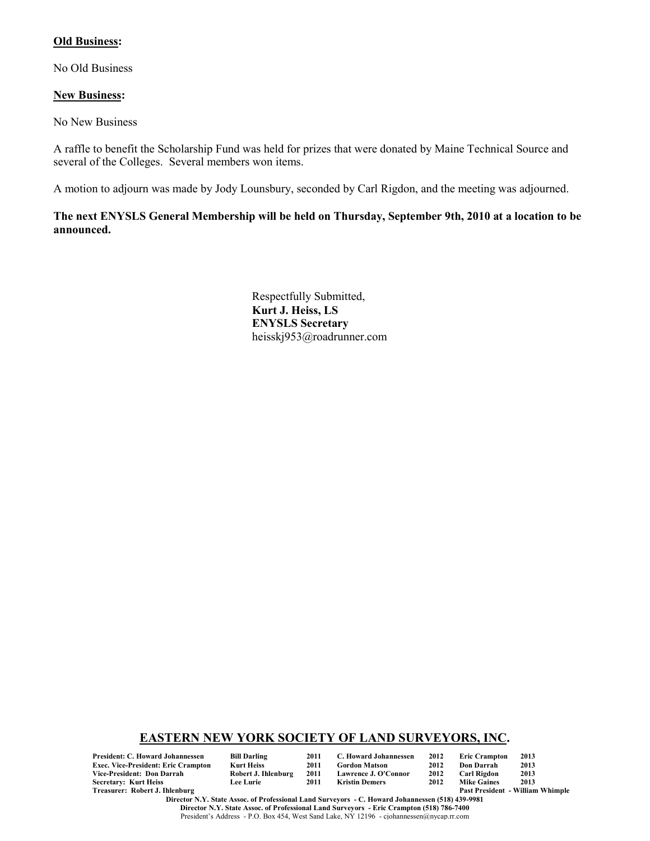## **Old Business:**

No Old Business

#### **New Business:**

No New Business

A raffle to benefit the Scholarship Fund was held for prizes that were donated by Maine Technical Source and several of the Colleges. Several members won items.

A motion to adjourn was made by Jody Lounsbury, seconded by Carl Rigdon, and the meeting was adjourned.

**The next ENYSLS General Membership will be held on Thursday, September 9th, 2010 at a location to be announced.**

> Respectfully Submitted, **Kurt J. Heiss, LS ENYSLS Secretary** heisskj953@roadrunner.com

## **EASTERN NEW YORK SOCIETY OF LAND SURVEYORS, INC.**

**President: C. Howard Johannessen Bill Darling 2011 C. Howard Johannessen 2012 Eric Crampton 2013 Exec. Vice-President: Eric Crampton Kurt Heiss 2011 Gordon Matson 2012 Don Darrah 2013 Secretary: Kurt Heiss<br>Treasurer: Robert J. Ihlenburg** 

| l Darling         |  |
|-------------------|--|
| rt Heiss          |  |
| bert J. Ihlenburg |  |
| e Lurie           |  |

**Vice-President: Don Darrah Robert J. Ihlenburg 2011 Lawrence J. O'Connor 2012 Carl Rigdon 2013**

| [hlenburg                                                                                        | <b>Past President - William Whimple</b> |
|--------------------------------------------------------------------------------------------------|-----------------------------------------|
| Director N.Y. State Assoc. of Professional Land Surveyors - C. Howard Johannessen (518) 439-9981 |                                         |
| Director N.Y. State Assoc. of Professional Land Surveyors - Eric Crampton (518) 786-7400         |                                         |
| President's Address - P.O. Box 454. West Sand Lake. NY 12196 - ciohannessen@nycap.rr.com         |                                         |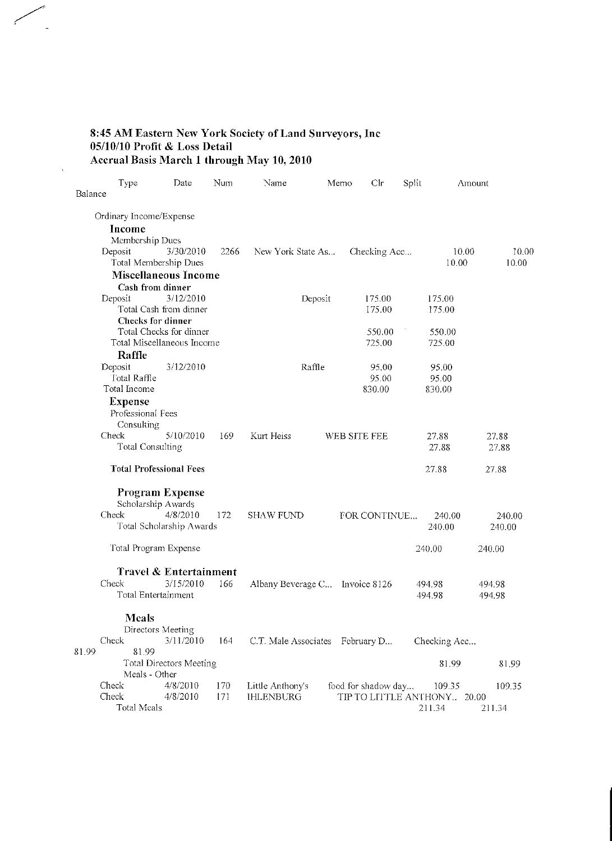# 8:45 AM Eastern New York Society of Land Surveyors, Inc<br>05/10/10 Profit & Loss Detail<br>Accrual Basis March 1 through May 10, 2010

 $\bar{\lambda}$ 

|         | Type                           | Date                     | Num  | Name                            | Memo    | Clr                         | Split |              | Amount |
|---------|--------------------------------|--------------------------|------|---------------------------------|---------|-----------------------------|-------|--------------|--------|
| Balance |                                |                          |      |                                 |         |                             |       |              |        |
|         | Ordinary Income/Expense        |                          |      |                                 |         |                             |       |              |        |
|         | Income                         |                          |      |                                 |         |                             |       |              |        |
|         | Membership Dues                |                          |      |                                 |         |                             |       |              |        |
|         | Deposit                        | 3/30/2010                | 2266 | New York State As               |         | Checking Acc                |       | 10.00        | 10.00  |
|         | Total Membership Dues          |                          |      |                                 |         |                             |       | 10.00        | 10.00  |
|         | <b>Miscellaneous Income</b>    |                          |      |                                 |         |                             |       |              |        |
|         | Cash from dinner               |                          |      |                                 |         |                             |       |              |        |
|         | Deposit                        | 3/12/2010                |      |                                 | Deposit | 175.00                      |       | 175.00       |        |
|         |                                | Total Cash from dinner   |      |                                 |         | 175.00                      |       | 175.00       |        |
|         | Checks for dinner              |                          |      |                                 |         |                             |       |              |        |
|         |                                | Total Checks for dinner  |      |                                 |         | 550.00                      |       | 550.00       |        |
|         | Total Miscellaneous Income     |                          |      |                                 |         | 725.00                      |       | 725.00       |        |
|         | Raffle                         |                          |      |                                 |         |                             |       |              |        |
|         | Deposit                        | 3/12/2010                |      |                                 | Raffle  | 95.00                       |       | 95.00        |        |
|         | Total Raffle                   |                          |      |                                 |         | 95.00                       |       | 95.00        |        |
|         | Total Income                   |                          |      |                                 |         | 830.00                      |       | 830.00       |        |
|         | <b>Expense</b>                 |                          |      |                                 |         |                             |       |              |        |
|         | Professional Fees              |                          |      |                                 |         |                             |       |              |        |
|         | Consulting                     |                          |      |                                 |         |                             |       |              |        |
|         | Check                          | 5/10/2010                | 169  | Kurt Heiss                      |         | WEB SITE FEE                |       | 27.88        | 27.88  |
|         | <b>Total Consulting</b>        |                          |      |                                 |         |                             |       | 27.88        | 27.88  |
|         | <b>Total Professional Fees</b> |                          |      |                                 |         |                             |       | 27.88        | 27.88  |
|         | <b>Program Expense</b>         |                          |      |                                 |         |                             |       |              |        |
|         | Scholarship Awards             |                          |      |                                 |         |                             |       |              |        |
|         | Check                          | 4/8/2010                 | 172  | <b>SHAW FUND</b>                |         | FOR CONTINUE                |       | 240.00       | 240.00 |
|         |                                | Total Scholarship Awards |      |                                 |         |                             |       | 240.00       | 240.00 |
|         | Total Program Expense          |                          |      |                                 |         |                             |       | 240.00       | 240.00 |
|         |                                |                          |      |                                 |         |                             |       |              |        |
|         |                                | Travel & Entertainment   |      |                                 |         |                             |       |              |        |
|         | Check                          | 3/15/2010                | 166  | Albany Beverage C Invoice 8126  |         |                             |       | 494.98       | 494.98 |
|         | Total Entertainment            |                          |      |                                 |         |                             |       | 494.98       | 494.98 |
|         | <b>Meals</b>                   |                          |      |                                 |         |                             |       |              |        |
|         | Directors Meeting              |                          |      |                                 |         |                             |       |              |        |
|         | Check                          | 3/11/2010                | 164  | C.T. Male Associates February D |         |                             |       | Checking Acc |        |
| 81.99   | 81.99                          |                          |      |                                 |         |                             |       |              |        |
|         |                                | Total Directors Meeting  |      |                                 |         |                             |       | 81.99        | 81.99  |
|         | Meals - Other                  |                          |      |                                 |         |                             |       |              |        |
|         | Check                          | 4/8/2010                 | 170  | Little Anthony's                |         | food for shadow day         |       | 109.35       | 109.35 |
|         | Check                          | 4/8/2010                 | 171  | <b>IHLENBURG</b>                |         | TIP TO LITTLE ANTHONY 20.00 |       |              |        |
|         | Total Meals                    |                          |      |                                 |         |                             |       | 211.34       | 211.34 |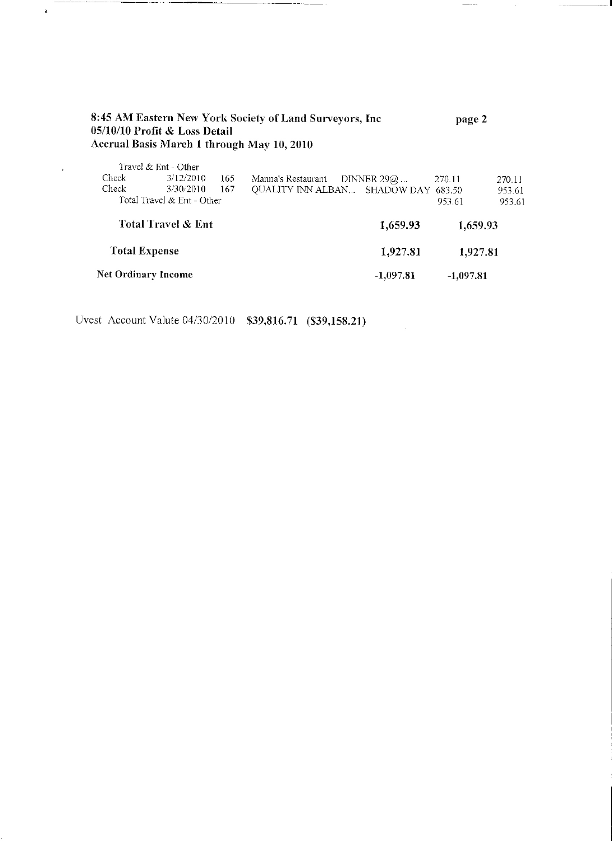|                    | 05/10/10 Profit & Loss Detail |     | 8:45 AM Eastern New York Society of Land Surveyors, Inc<br>Accrual Basis March 1 through May 10, 2010 |               | page 2   |        |
|--------------------|-------------------------------|-----|-------------------------------------------------------------------------------------------------------|---------------|----------|--------|
|                    | Travel & Ent - Other          |     |                                                                                                       |               |          |        |
| Check              | 3/12/2010                     | 165 | Manna's Restaurant                                                                                    | DINNER 29 $@$ | 270.11   | 270.11 |
| Check              | 3/30/2010                     | 167 | QUALITY INN ALBAN SHADOW DAY 683.50                                                                   |               |          | 953.61 |
|                    | Total Travel & Ent - Other    |     |                                                                                                       |               | 953.61   | 953.61 |
| Total Travel & Ent |                               |     |                                                                                                       | 1,659.93      | 1,659.93 |        |

------

 $\frac{1}{2}$ 

**Total Expense** 1,927.81 1,927.81 Net Ordinary Income  $-1,097.81$  $-1,097.81$ 

Uvest Account Valute 04/30/2010 \$39,816.71 (\$39,158.21)

 $\ddot{\phantom{a}}$ 

 $\epsilon$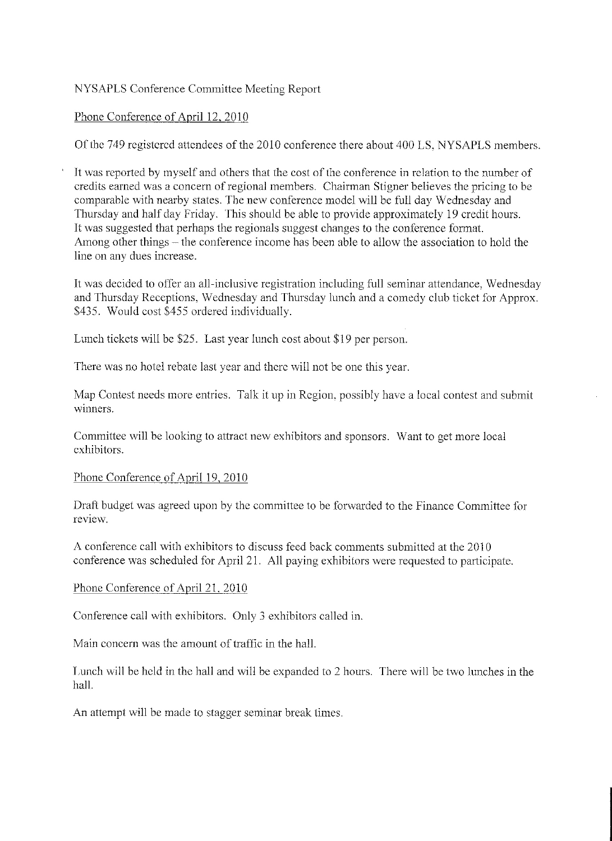# NYSAPLS Conference Committee Meeting Report

# Phone Conference of April 12, 2010

Of the 749 registered attendees of the 2010 conference there about 400 LS, NYSAPLS members.

It was reported by myself and others that the cost of the conference in relation to the number of credits earned was a concern of regional members. Chairman Stigner believes the pricing to be comparable with nearby states. The new conference model will be full day Wednesday and Thursday and half day Friday. This should be able to provide approximately 19 credit hours. It was suggested that perhaps the regionals suggest changes to the conference format. Among other things – the conference income has been able to allow the association to hold the line on any dues increase.

It was decided to offer an all-inclusive registration including full seminar attendance, Wednesday and Thursday Receptions, Wednesday and Thursday lunch and a comedy club ticket for Approx. \$435. Would cost \$455 ordered individually.

Lunch tickets will be \$25. Last year lunch cost about \$19 per person.

There was no hotel rebate last year and there will not be one this year.

Map Contest needs more entries. Talk it up in Region, possibly have a local contest and submit winners.

Committee will be looking to attract new exhibitors and sponsors. Want to get more local exhibitors.

## Phone Conference of April 19, 2010

Draft budget was agreed upon by the committee to be forwarded to the Finance Committee for review.

A conference call with exhibitors to discuss feed back comments submitted at the 2010 conference was scheduled for April 21. All paying exhibitors were requested to participate.

# Phone Conference of April 21, 2010

Conference call with exhibitors. Only 3 exhibitors called in.

Main concern was the amount of traffic in the hall.

Lunch will be held in the hall and will be expanded to 2 hours. There will be two lunches in the hall.

An attempt will be made to stagger seminar break times.